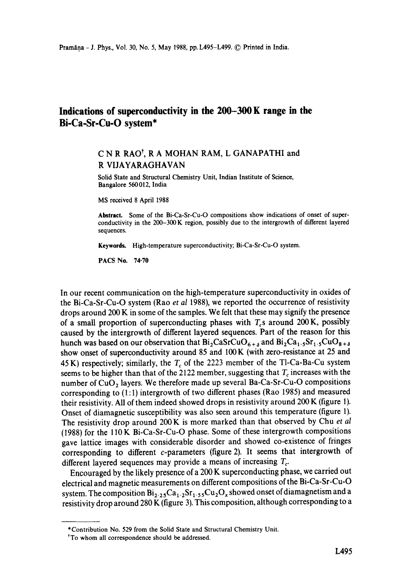## **Indications of superconductivity in the 200-300 K range in the Bi-Ca-Sr-Cu-O system\***

## C N R RAO<sup>†</sup>, R A MOHAN RAM, L GANAPATHI and R VIJAYARAGHAVAN

Solid State and Structural Chemistry Unit, Indian Institute of Science, Bangalore 560012, India

MS received 8 April 1988

**Abstract.** Some of the Bi-Ca-Sr-Cu-O compositions show indications of onset of superconductivity in the 200-300 K region, possibly due to the intergrowth of different layered sequences.

**Keywords.** High-temperature superconductivity; Bi-Ca-Sr-Cu-O system.

PACS No. 74.70

In our recent communication on the high-temperature superconductivity in oxides of the Bi-Ca-Sr-Cu-O system (Rao *et al* 1988), we reported the occurrence of resistivity drops around 200 K in some of the samples. We felt that these may signify the presence of a small proportion of superconducting phases with  $T<sub>c</sub>$  around 200 K, possibly caused by the intergrowth of different layered sequences. Part of the reason for this hunch was based on our observation that  $Bi_2CaSrCuO_{6+3}$  and  $Bi_2Ca_1.5Sr_1.5CuO_{8+3}$ show onset of superconductivity around 85 and 100 K (with zero-resistance at 25 and 45 K) respectively; similarly, the  $T_c$  of the 2223 member of the Tl-Ca-Ba-Cu system seems to be higher than that of the 2122 member, suggesting that  $T_c$  increases with the number of  $CuO<sub>2</sub>$  layers. We therefore made up several Ba-Ca-Sr-Cu-O compositions corresponding to (I:1) intergrowth of two different phases (Rao 1985) and measured their resistivity. All of them indeed showed drops in resistivity around 200 K (figure 1). Onset of diamagnetic susceptibility was also seen around this temperature (figure 1). The resistivity drop around 200 K is more marked than that observed by Chu *et al*  (1988) for the 1 I0 K Bi-Ca-Sr-Cu-O phase. Some of these intergrowth compositions gave lattice images with considerable disorder and showed co-existence of fringes corresponding to different c-parameters (figure 2). It seems that intergrowth of different layered sequences may provide a means of increasing  $T_c$ .

Encouraged by the likely presence of a 200 K superconducting phase, we carried out electrical and magnetic measurements on different compositions of the Bi-Ca-Sr-Cu-O system. The composition  $Bi_{2.25}Ca_{1.2}Sr_{1.55}Cu_2O_x$  showed onset of diamagnetism and a resistivity drop around 280 K (figure 3). This composition, although corresponding to a

<sup>\*</sup>Contribution No. 529 from the Solid State and Structural Chemistry Unit.

<sup>\*</sup>To whom all correspondence should be addressed.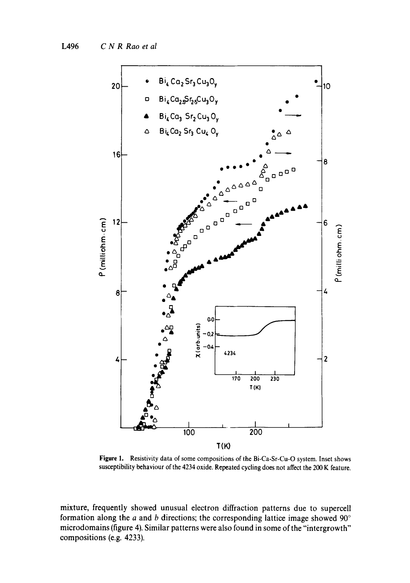

**Figure 1. Resistivity data of some compositions of the Bi-Ca-Sr-Cu-O system. Inset shows susceptibility behaviour of the 4234 oxide. Repeated cycling does not affect the 200 K feature.** 

mixture, frequently showed unusual electron diffraction patterns due to supercell formation along the  $a$  and  $b$  directions; the corresponding lattice image showed  $90^\circ$ microdomains (figure 4). Similar patterns were also found in some of the "intergrowth" compositions (e.g. 4233).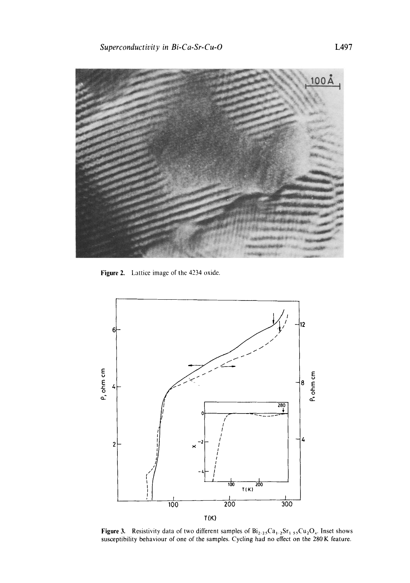

Figure 2. Lattice image of the 4234 oxide.



**Figure 3.** Resistivity data of two different samples of  $Bi_{2.25}Ca_{1.2}Sr_{1.55}Cu_2O_x$ . Inset shows susceptibility behaviour of one of the samples. Cycling had no effect on the 280 K feature.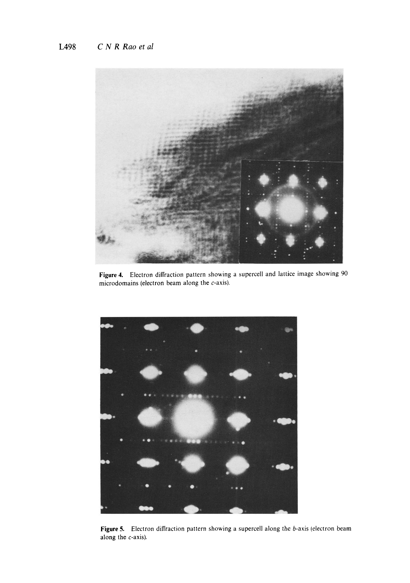

Figure 4. Electron diffraction pattern showing a supercell and lattice image showing 90 microdomains (electron beam along the c-axis).



Figure 5. Electron diffraction pattern showing a supercell along the b-axis (electron beam along the c-axis).